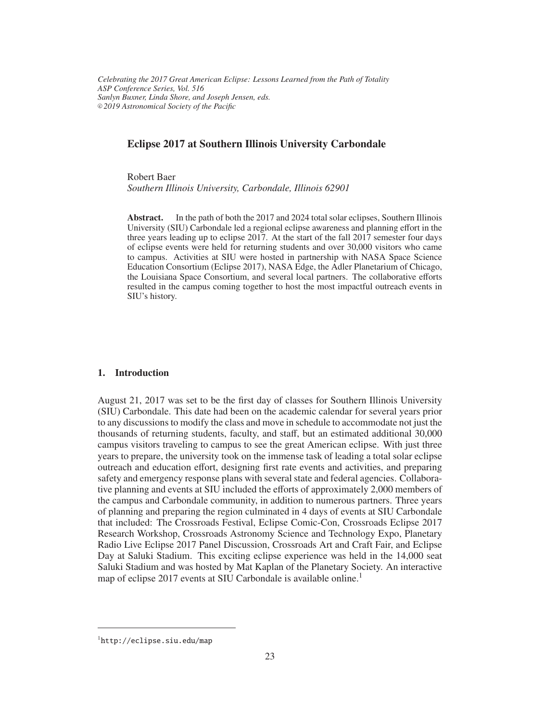*Celebrating the 2017 Great American Eclipse: Lessons Learned from the Path of Totality ASP Conference Series, Vol. 516 Sanlyn Buxner, Linda Shore, and Joseph Jensen, eds.* <sup>c</sup> *2019 Astronomical Society of the Pacific*

# Eclipse 2017 at Southern Illinois University Carbondale

Robert Baer

*Southern Illinois University, Carbondale, Illinois 62901*

Abstract. In the path of both the 2017 and 2024 total solar eclipses, Southern Illinois University (SIU) Carbondale led a regional eclipse awareness and planning effort in the three years leading up to eclipse 2017. At the start of the fall 2017 semester four days of eclipse events were held for returning students and over 30,000 visitors who came to campus. Activities at SIU were hosted in partnership with NASA Space Science Education Consortium (Eclipse 2017), NASA Edge, the Adler Planetarium of Chicago, the Louisiana Space Consortium, and several local partners. The collaborative efforts resulted in the campus coming together to host the most impactful outreach events in SIU's history.

#### 1. Introduction

August 21, 2017 was set to be the first day of classes for Southern Illinois University (SIU) Carbondale. This date had been on the academic calendar for several years prior to any discussions to modify the class and move in schedule to accommodate not just the thousands of returning students, faculty, and staff, but an estimated additional 30,000 campus visitors traveling to campus to see the great American eclipse. With just three years to prepare, the university took on the immense task of leading a total solar eclipse outreach and education effort, designing first rate events and activities, and preparing safety and emergency response plans with several state and federal agencies. Collaborative planning and events at SIU included the efforts of approximately 2,000 members of the campus and Carbondale community, in addition to numerous partners. Three years of planning and preparing the region culminated in 4 days of events at SIU Carbondale that included: The Crossroads Festival, Eclipse Comic-Con, Crossroads Eclipse 2017 Research Workshop, Crossroads Astronomy Science and Technology Expo, Planetary Radio Live Eclipse 2017 Panel Discussion, Crossroads Art and Craft Fair, and Eclipse Day at Saluki Stadium. This exciting eclipse experience was held in the 14,000 seat Saluki Stadium and was hosted by Mat Kaplan of the Planetary Society. An interactive map of eclipse 2017 events at SIU Carbondale is available online.<sup>1</sup>

<sup>1</sup>http://eclipse.siu.edu/map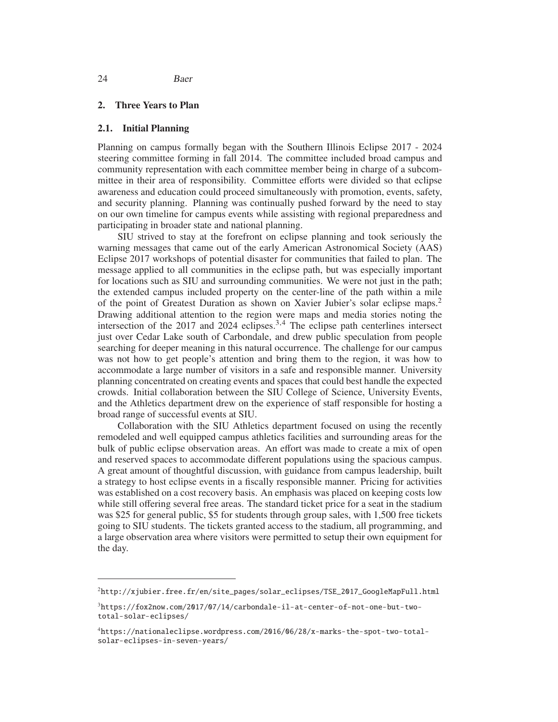## 2. Three Years to Plan

#### 2.1. Initial Planning

Planning on campus formally began with the Southern Illinois Eclipse 2017 - 2024 steering committee forming in fall 2014. The committee included broad campus and community representation with each committee member being in charge of a subcommittee in their area of responsibility. Committee efforts were divided so that eclipse awareness and education could proceed simultaneously with promotion, events, safety, and security planning. Planning was continually pushed forward by the need to stay on our own timeline for campus events while assisting with regional preparedness and participating in broader state and national planning.

SIU strived to stay at the forefront on eclipse planning and took seriously the warning messages that came out of the early American Astronomical Society (AAS) Eclipse 2017 workshops of potential disaster for communities that failed to plan. The message applied to all communities in the eclipse path, but was especially important for locations such as SIU and surrounding communities. We were not just in the path; the extended campus included property on the center-line of the path within a mile of the point of Greatest Duration as shown on Xavier Jubier's solar eclipse maps.<sup>2</sup> Drawing additional attention to the region were maps and media stories noting the intersection of the  $2017$  and  $2024$  eclipses.<sup>3,4</sup> The eclipse path centerlines intersect just over Cedar Lake south of Carbondale, and drew public speculation from people searching for deeper meaning in this natural occurrence. The challenge for our campus was not how to get people's attention and bring them to the region, it was how to accommodate a large number of visitors in a safe and responsible manner. University planning concentrated on creating events and spaces that could best handle the expected crowds. Initial collaboration between the SIU College of Science, University Events, and the Athletics department drew on the experience of staff responsible for hosting a broad range of successful events at SIU.

Collaboration with the SIU Athletics department focused on using the recently remodeled and well equipped campus athletics facilities and surrounding areas for the bulk of public eclipse observation areas. An effort was made to create a mix of open and reserved spaces to accommodate different populations using the spacious campus. A great amount of thoughtful discussion, with guidance from campus leadership, built a strategy to host eclipse events in a fiscally responsible manner. Pricing for activities was established on a cost recovery basis. An emphasis was placed on keeping costs low while still offering several free areas. The standard ticket price for a seat in the stadium was \$25 for general public, \$5 for students through group sales, with 1,500 free tickets going to SIU students. The tickets granted access to the stadium, all programming, and a large observation area where visitors were permitted to setup their own equipment for the day.

<sup>2</sup>http://xjubier.free.fr/en/site\_pages/solar\_eclipses/TSE\_2017\_GoogleMapFull.html

<sup>3</sup>https://fox2now.com/2017/07/14/carbondale-il-at-center-of-not-one-but-twototal-solar-eclipses/

<sup>4</sup>https://nationaleclipse.wordpress.com/2016/06/28/x-marks-the-spot-two-totalsolar-eclipses-in-seven-years/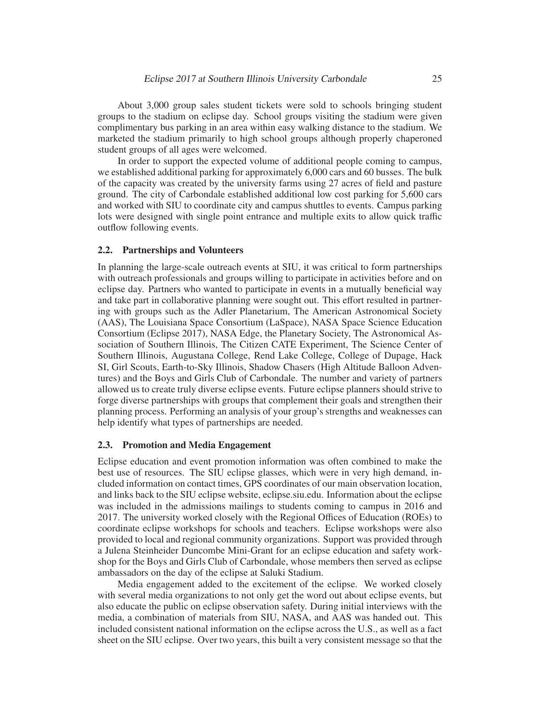About 3,000 group sales student tickets were sold to schools bringing student groups to the stadium on eclipse day. School groups visiting the stadium were given complimentary bus parking in an area within easy walking distance to the stadium. We marketed the stadium primarily to high school groups although properly chaperoned student groups of all ages were welcomed.

In order to support the expected volume of additional people coming to campus, we established additional parking for approximately 6,000 cars and 60 busses. The bulk of the capacity was created by the university farms using 27 acres of field and pasture ground. The city of Carbondale established additional low cost parking for 5,600 cars and worked with SIU to coordinate city and campus shuttles to events. Campus parking lots were designed with single point entrance and multiple exits to allow quick traffic outflow following events.

### 2.2. Partnerships and Volunteers

In planning the large-scale outreach events at SIU, it was critical to form partnerships with outreach professionals and groups willing to participate in activities before and on eclipse day. Partners who wanted to participate in events in a mutually beneficial way and take part in collaborative planning were sought out. This effort resulted in partnering with groups such as the Adler Planetarium, The American Astronomical Society (AAS), The Louisiana Space Consortium (LaSpace), NASA Space Science Education Consortium (Eclipse 2017), NASA Edge, the Planetary Society, The Astronomical Association of Southern Illinois, The Citizen CATE Experiment, The Science Center of Southern Illinois, Augustana College, Rend Lake College, College of Dupage, Hack SI, Girl Scouts, Earth-to-Sky Illinois, Shadow Chasers (High Altitude Balloon Adventures) and the Boys and Girls Club of Carbondale. The number and variety of partners allowed us to create truly diverse eclipse events. Future eclipse planners should strive to forge diverse partnerships with groups that complement their goals and strengthen their planning process. Performing an analysis of your group's strengths and weaknesses can help identify what types of partnerships are needed.

#### 2.3. Promotion and Media Engagement

Eclipse education and event promotion information was often combined to make the best use of resources. The SIU eclipse glasses, which were in very high demand, included information on contact times, GPS coordinates of our main observation location, and links back to the SIU eclipse website, eclipse.siu.edu. Information about the eclipse was included in the admissions mailings to students coming to campus in 2016 and 2017. The university worked closely with the Regional Offices of Education (ROEs) to coordinate eclipse workshops for schools and teachers. Eclipse workshops were also provided to local and regional community organizations. Support was provided through a Julena Steinheider Duncombe Mini-Grant for an eclipse education and safety workshop for the Boys and Girls Club of Carbondale, whose members then served as eclipse ambassadors on the day of the eclipse at Saluki Stadium.

Media engagement added to the excitement of the eclipse. We worked closely with several media organizations to not only get the word out about eclipse events, but also educate the public on eclipse observation safety. During initial interviews with the media, a combination of materials from SIU, NASA, and AAS was handed out. This included consistent national information on the eclipse across the U.S., as well as a fact sheet on the SIU eclipse. Over two years, this built a very consistent message so that the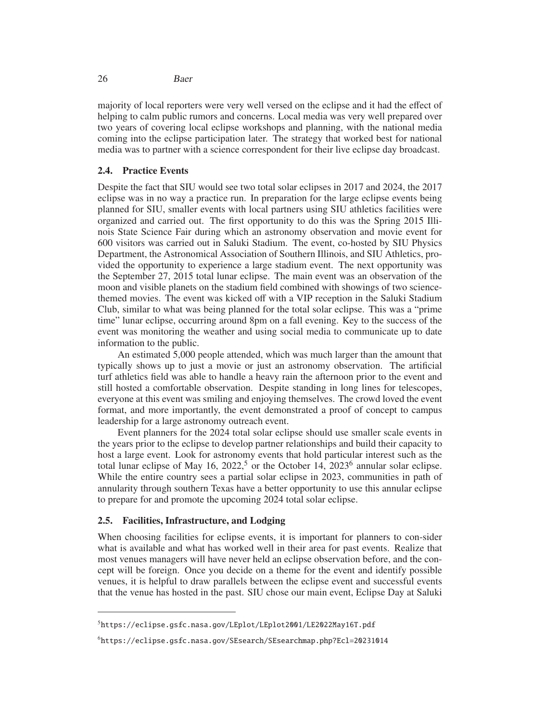majority of local reporters were very well versed on the eclipse and it had the effect of helping to calm public rumors and concerns. Local media was very well prepared over two years of covering local eclipse workshops and planning, with the national media coming into the eclipse participation later. The strategy that worked best for national media was to partner with a science correspondent for their live eclipse day broadcast.

## 2.4. Practice Events

Despite the fact that SIU would see two total solar eclipses in 2017 and 2024, the 2017 eclipse was in no way a practice run. In preparation for the large eclipse events being planned for SIU, smaller events with local partners using SIU athletics facilities were organized and carried out. The first opportunity to do this was the Spring 2015 Illinois State Science Fair during which an astronomy observation and movie event for 600 visitors was carried out in Saluki Stadium. The event, co-hosted by SIU Physics Department, the Astronomical Association of Southern Illinois, and SIU Athletics, provided the opportunity to experience a large stadium event. The next opportunity was the September 27, 2015 total lunar eclipse. The main event was an observation of the moon and visible planets on the stadium field combined with showings of two sciencethemed movies. The event was kicked off with a VIP reception in the Saluki Stadium Club, similar to what was being planned for the total solar eclipse. This was a "prime time" lunar eclipse, occurring around 8pm on a fall evening. Key to the success of the event was monitoring the weather and using social media to communicate up to date information to the public.

An estimated 5,000 people attended, which was much larger than the amount that typically shows up to just a movie or just an astronomy observation. The artificial turf athletics field was able to handle a heavy rain the afternoon prior to the event and still hosted a comfortable observation. Despite standing in long lines for telescopes, everyone at this event was smiling and enjoying themselves. The crowd loved the event format, and more importantly, the event demonstrated a proof of concept to campus leadership for a large astronomy outreach event.

Event planners for the 2024 total solar eclipse should use smaller scale events in the years prior to the eclipse to develop partner relationships and build their capacity to host a large event. Look for astronomy events that hold particular interest such as the total lunar eclipse of May 16, 2022,<sup>5</sup> or the October 14, 2023<sup>6</sup> annular solar eclipse. While the entire country sees a partial solar eclipse in 2023, communities in path of annularity through southern Texas have a better opportunity to use this annular eclipse to prepare for and promote the upcoming 2024 total solar eclipse.

## 2.5. Facilities, Infrastructure, and Lodging

When choosing facilities for eclipse events, it is important for planners to con-sider what is available and what has worked well in their area for past events. Realize that most venues managers will have never held an eclipse observation before, and the concept will be foreign. Once you decide on a theme for the event and identify possible venues, it is helpful to draw parallels between the eclipse event and successful events that the venue has hosted in the past. SIU chose our main event, Eclipse Day at Saluki

<sup>5</sup>https://eclipse.gsfc.nasa.gov/LEplot/LEplot2001/LE2022May16T.pdf

<sup>6</sup>https://eclipse.gsfc.nasa.gov/SEsearch/SEsearchmap.php?Ecl=20231014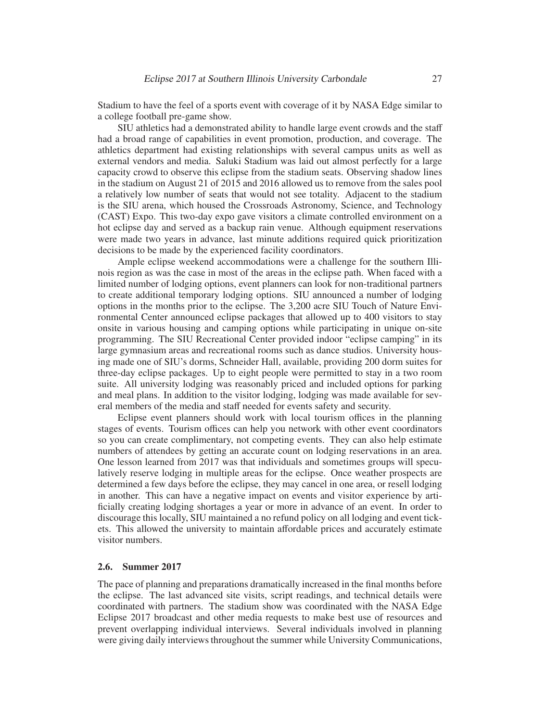Stadium to have the feel of a sports event with coverage of it by NASA Edge similar to a college football pre-game show.

SIU athletics had a demonstrated ability to handle large event crowds and the staff had a broad range of capabilities in event promotion, production, and coverage. The athletics department had existing relationships with several campus units as well as external vendors and media. Saluki Stadium was laid out almost perfectly for a large capacity crowd to observe this eclipse from the stadium seats. Observing shadow lines in the stadium on August 21 of 2015 and 2016 allowed us to remove from the sales pool a relatively low number of seats that would not see totality. Adjacent to the stadium is the SIU arena, which housed the Crossroads Astronomy, Science, and Technology (CAST) Expo. This two-day expo gave visitors a climate controlled environment on a hot eclipse day and served as a backup rain venue. Although equipment reservations were made two years in advance, last minute additions required quick prioritization decisions to be made by the experienced facility coordinators.

Ample eclipse weekend accommodations were a challenge for the southern Illinois region as was the case in most of the areas in the eclipse path. When faced with a limited number of lodging options, event planners can look for non-traditional partners to create additional temporary lodging options. SIU announced a number of lodging options in the months prior to the eclipse. The 3,200 acre SIU Touch of Nature Environmental Center announced eclipse packages that allowed up to 400 visitors to stay onsite in various housing and camping options while participating in unique on-site programming. The SIU Recreational Center provided indoor "eclipse camping" in its large gymnasium areas and recreational rooms such as dance studios. University housing made one of SIU's dorms, Schneider Hall, available, providing 200 dorm suites for three-day eclipse packages. Up to eight people were permitted to stay in a two room suite. All university lodging was reasonably priced and included options for parking and meal plans. In addition to the visitor lodging, lodging was made available for several members of the media and staff needed for events safety and security.

Eclipse event planners should work with local tourism offices in the planning stages of events. Tourism offices can help you network with other event coordinators so you can create complimentary, not competing events. They can also help estimate numbers of attendees by getting an accurate count on lodging reservations in an area. One lesson learned from 2017 was that individuals and sometimes groups will speculatively reserve lodging in multiple areas for the eclipse. Once weather prospects are determined a few days before the eclipse, they may cancel in one area, or resell lodging in another. This can have a negative impact on events and visitor experience by artificially creating lodging shortages a year or more in advance of an event. In order to discourage this locally, SIU maintained a no refund policy on all lodging and event tickets. This allowed the university to maintain affordable prices and accurately estimate visitor numbers.

### 2.6. Summer 2017

The pace of planning and preparations dramatically increased in the final months before the eclipse. The last advanced site visits, script readings, and technical details were coordinated with partners. The stadium show was coordinated with the NASA Edge Eclipse 2017 broadcast and other media requests to make best use of resources and prevent overlapping individual interviews. Several individuals involved in planning were giving daily interviews throughout the summer while University Communications,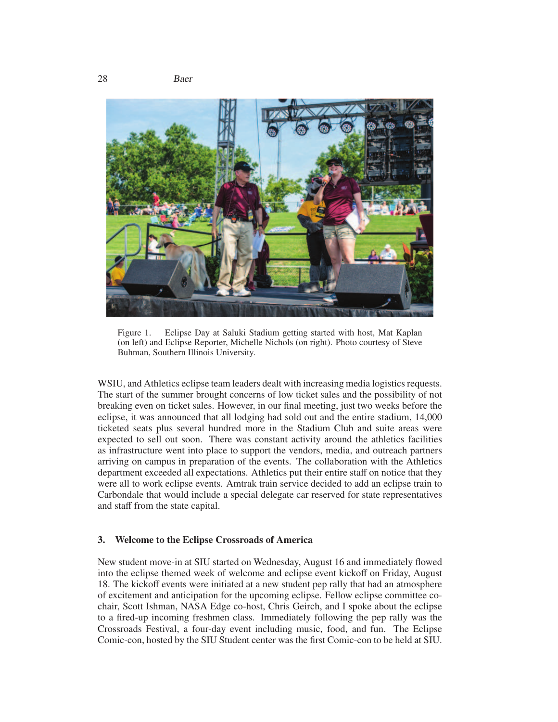28 Baer



Figure 1. Eclipse Day at Saluki Stadium getting started with host, Mat Kaplan (on left) and Eclipse Reporter, Michelle Nichols (on right). Photo courtesy of Steve Buhman, Southern Illinois University.

WSIU, and Athletics eclipse team leaders dealt with increasing media logistics requests. The start of the summer brought concerns of low ticket sales and the possibility of not breaking even on ticket sales. However, in our final meeting, just two weeks before the eclipse, it was announced that all lodging had sold out and the entire stadium, 14,000 ticketed seats plus several hundred more in the Stadium Club and suite areas were expected to sell out soon. There was constant activity around the athletics facilities as infrastructure went into place to support the vendors, media, and outreach partners arriving on campus in preparation of the events. The collaboration with the Athletics department exceeded all expectations. Athletics put their entire staff on notice that they were all to work eclipse events. Amtrak train service decided to add an eclipse train to Carbondale that would include a special delegate car reserved for state representatives and staff from the state capital.

### 3. Welcome to the Eclipse Crossroads of America

New student move-in at SIU started on Wednesday, August 16 and immediately flowed into the eclipse themed week of welcome and eclipse event kickoff on Friday, August 18. The kickoff events were initiated at a new student pep rally that had an atmosphere of excitement and anticipation for the upcoming eclipse. Fellow eclipse committee cochair, Scott Ishman, NASA Edge co-host, Chris Geirch, and I spoke about the eclipse to a fired-up incoming freshmen class. Immediately following the pep rally was the Crossroads Festival, a four-day event including music, food, and fun. The Eclipse Comic-con, hosted by the SIU Student center was the first Comic-con to be held at SIU.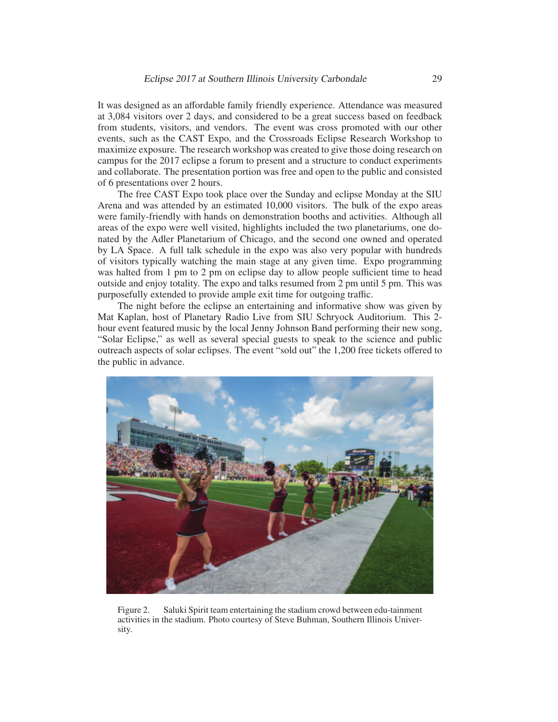It was designed as an affordable family friendly experience. Attendance was measured at 3,084 visitors over 2 days, and considered to be a great success based on feedback from students, visitors, and vendors. The event was cross promoted with our other events, such as the CAST Expo, and the Crossroads Eclipse Research Workshop to maximize exposure. The research workshop was created to give those doing research on campus for the 2017 eclipse a forum to present and a structure to conduct experiments and collaborate. The presentation portion was free and open to the public and consisted of 6 presentations over 2 hours.

The free CAST Expo took place over the Sunday and eclipse Monday at the SIU Arena and was attended by an estimated 10,000 visitors. The bulk of the expo areas were family-friendly with hands on demonstration booths and activities. Although all areas of the expo were well visited, highlights included the two planetariums, one donated by the Adler Planetarium of Chicago, and the second one owned and operated by LA Space. A full talk schedule in the expo was also very popular with hundreds of visitors typically watching the main stage at any given time. Expo programming was halted from 1 pm to 2 pm on eclipse day to allow people sufficient time to head outside and enjoy totality. The expo and talks resumed from 2 pm until 5 pm. This was purposefully extended to provide ample exit time for outgoing traffic.

The night before the eclipse an entertaining and informative show was given by Mat Kaplan, host of Planetary Radio Live from SIU Schryock Auditorium. This 2 hour event featured music by the local Jenny Johnson Band performing their new song, "Solar Eclipse," as well as several special guests to speak to the science and public outreach aspects of solar eclipses. The event "sold out" the 1,200 free tickets offered to the public in advance.



Figure 2. Saluki Spirit team entertaining the stadium crowd between edu-tainment activities in the stadium. Photo courtesy of Steve Buhman, Southern Illinois University.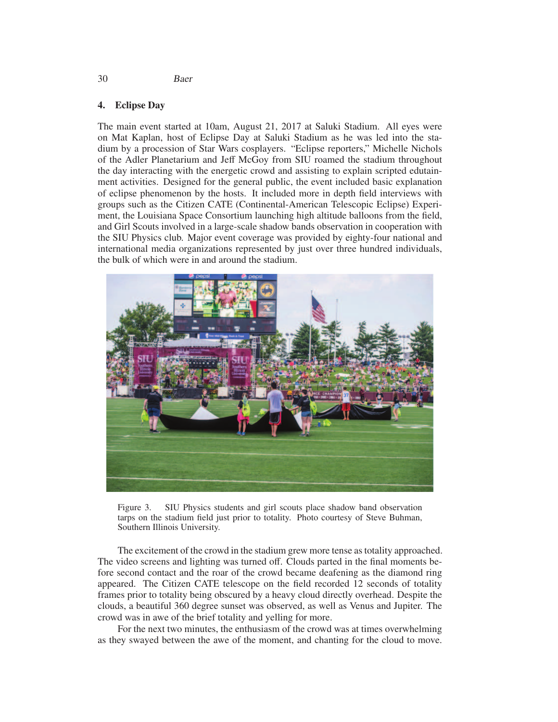### 30 Baer

# 4. Eclipse Day

The main event started at 10am, August 21, 2017 at Saluki Stadium. All eyes were on Mat Kaplan, host of Eclipse Day at Saluki Stadium as he was led into the stadium by a procession of Star Wars cosplayers. "Eclipse reporters," Michelle Nichols of the Adler Planetarium and Jeff McGoy from SIU roamed the stadium throughout the day interacting with the energetic crowd and assisting to explain scripted edutainment activities. Designed for the general public, the event included basic explanation of eclipse phenomenon by the hosts. It included more in depth field interviews with groups such as the Citizen CATE (Continental-American Telescopic Eclipse) Experiment, the Louisiana Space Consortium launching high altitude balloons from the field, and Girl Scouts involved in a large-scale shadow bands observation in cooperation with the SIU Physics club. Major event coverage was provided by eighty-four national and international media organizations represented by just over three hundred individuals, the bulk of which were in and around the stadium.



Figure 3. SIU Physics students and girl scouts place shadow band observation tarps on the stadium field just prior to totality. Photo courtesy of Steve Buhman, Southern Illinois University.

The excitement of the crowd in the stadium grew more tense as totality approached. The video screens and lighting was turned off. Clouds parted in the final moments before second contact and the roar of the crowd became deafening as the diamond ring appeared. The Citizen CATE telescope on the field recorded 12 seconds of totality frames prior to totality being obscured by a heavy cloud directly overhead. Despite the clouds, a beautiful 360 degree sunset was observed, as well as Venus and Jupiter. The crowd was in awe of the brief totality and yelling for more.

For the next two minutes, the enthusiasm of the crowd was at times overwhelming as they swayed between the awe of the moment, and chanting for the cloud to move.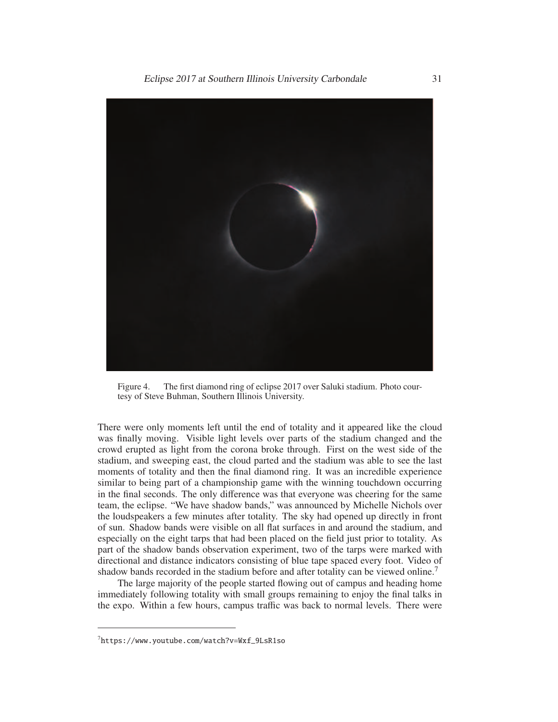

Figure 4. The first diamond ring of eclipse 2017 over Saluki stadium. Photo courtesy of Steve Buhman, Southern Illinois University.

There were only moments left until the end of totality and it appeared like the cloud was finally moving. Visible light levels over parts of the stadium changed and the crowd erupted as light from the corona broke through. First on the west side of the stadium, and sweeping east, the cloud parted and the stadium was able to see the last moments of totality and then the final diamond ring. It was an incredible experience similar to being part of a championship game with the winning touchdown occurring in the final seconds. The only difference was that everyone was cheering for the same team, the eclipse. "We have shadow bands," was announced by Michelle Nichols over the loudspeakers a few minutes after totality. The sky had opened up directly in front of sun. Shadow bands were visible on all flat surfaces in and around the stadium, and especially on the eight tarps that had been placed on the field just prior to totality. As part of the shadow bands observation experiment, two of the tarps were marked with directional and distance indicators consisting of blue tape spaced every foot. Video of shadow bands recorded in the stadium before and after totality can be viewed online.<sup>7</sup>

The large majority of the people started flowing out of campus and heading home immediately following totality with small groups remaining to enjoy the final talks in the expo. Within a few hours, campus traffic was back to normal levels. There were

<sup>7</sup>https://www.youtube.com/watch?v=Wxf\_9LsR1so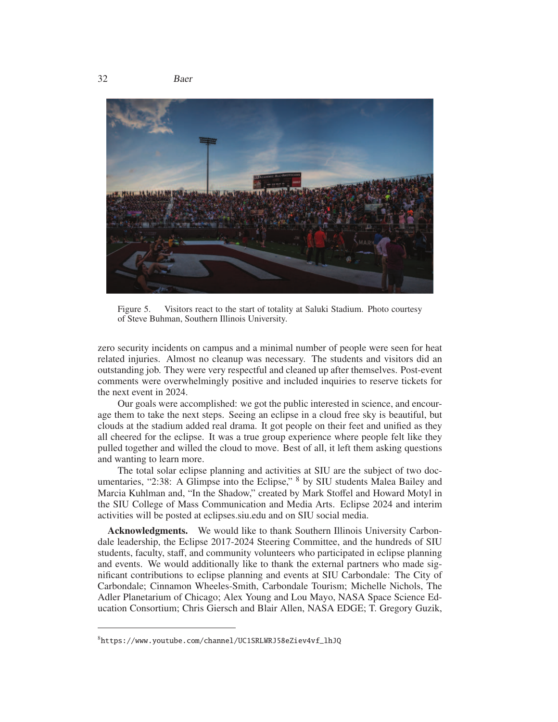

Figure 5. Visitors react to the start of totality at Saluki Stadium. Photo courtesy of Steve Buhman, Southern Illinois University.

zero security incidents on campus and a minimal number of people were seen for heat related injuries. Almost no cleanup was necessary. The students and visitors did an outstanding job. They were very respectful and cleaned up after themselves. Post-event comments were overwhelmingly positive and included inquiries to reserve tickets for the next event in 2024.

Our goals were accomplished: we got the public interested in science, and encourage them to take the next steps. Seeing an eclipse in a cloud free sky is beautiful, but clouds at the stadium added real drama. It got people on their feet and unified as they all cheered for the eclipse. It was a true group experience where people felt like they pulled together and willed the cloud to move. Best of all, it left them asking questions and wanting to learn more.

The total solar eclipse planning and activities at SIU are the subject of two documentaries, "2:38: A Glimpse into the Eclipse," <sup>8</sup> by SIU students Malea Bailey and Marcia Kuhlman and, "In the Shadow," created by Mark Stoffel and Howard Motyl in the SIU College of Mass Communication and Media Arts. Eclipse 2024 and interim activities will be posted at eclipses.siu.edu and on SIU social media.

Acknowledgments. We would like to thank Southern Illinois University Carbondale leadership, the Eclipse 2017-2024 Steering Committee, and the hundreds of SIU students, faculty, staff, and community volunteers who participated in eclipse planning and events. We would additionally like to thank the external partners who made significant contributions to eclipse planning and events at SIU Carbondale: The City of Carbondale; Cinnamon Wheeles-Smith, Carbondale Tourism; Michelle Nichols, The Adler Planetarium of Chicago; Alex Young and Lou Mayo, NASA Space Science Education Consortium; Chris Giersch and Blair Allen, NASA EDGE; T. Gregory Guzik,

<sup>8</sup>https://www.youtube.com/channel/UC1SRLWRJ58eZiev4vf\_lhJQ